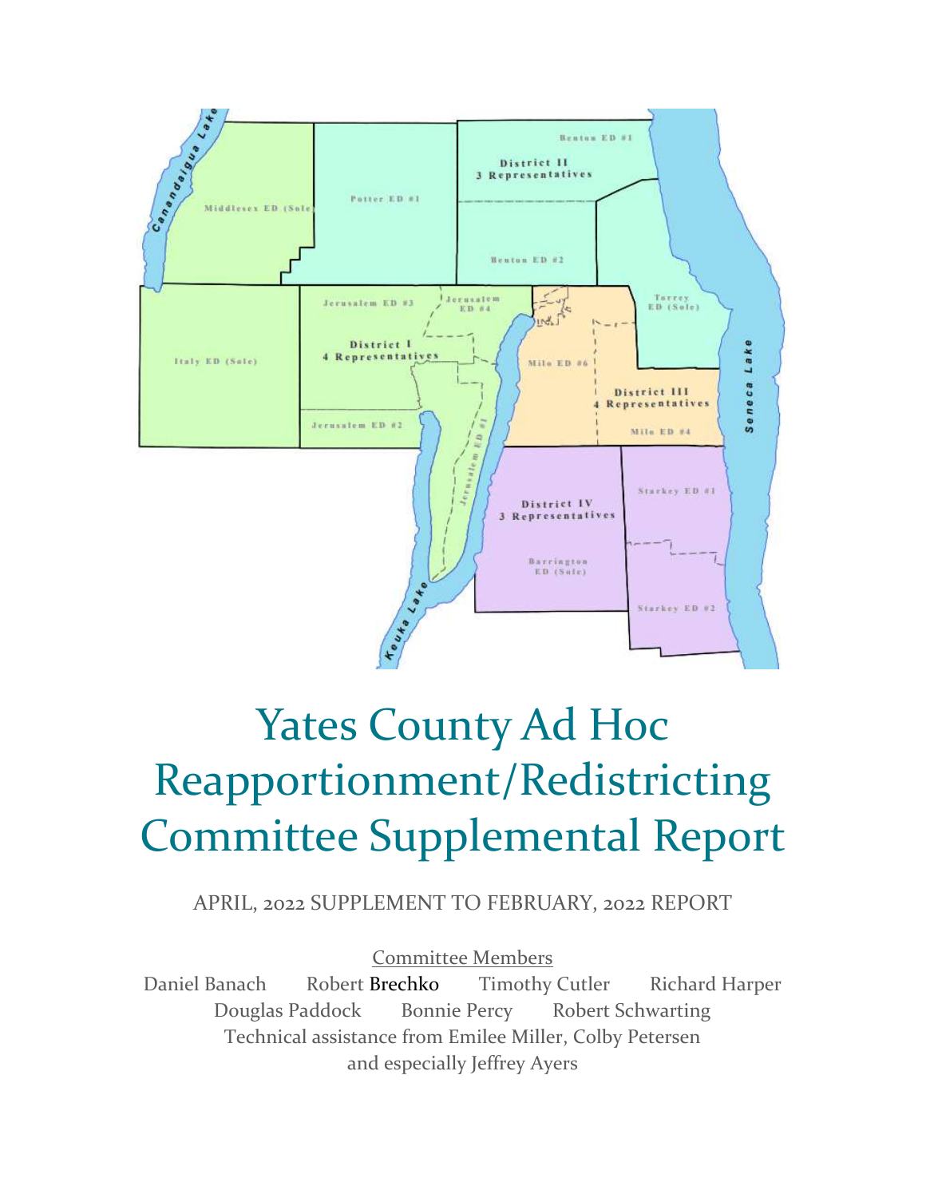

# Yates County Ad Hoc Reapportionment/Redistricting Committee Supplemental Report

APRIL, 2022 SUPPLEMENT TO FEBRUARY, 2022 REPORT

Committee Members

Daniel Banach Robert Brechko Timothy Cutler Richard Harper Douglas Paddock Bonnie Percy Robert Schwarting Technical assistance from Emilee Miller, Colby Petersen and especially Jeffrey Ayers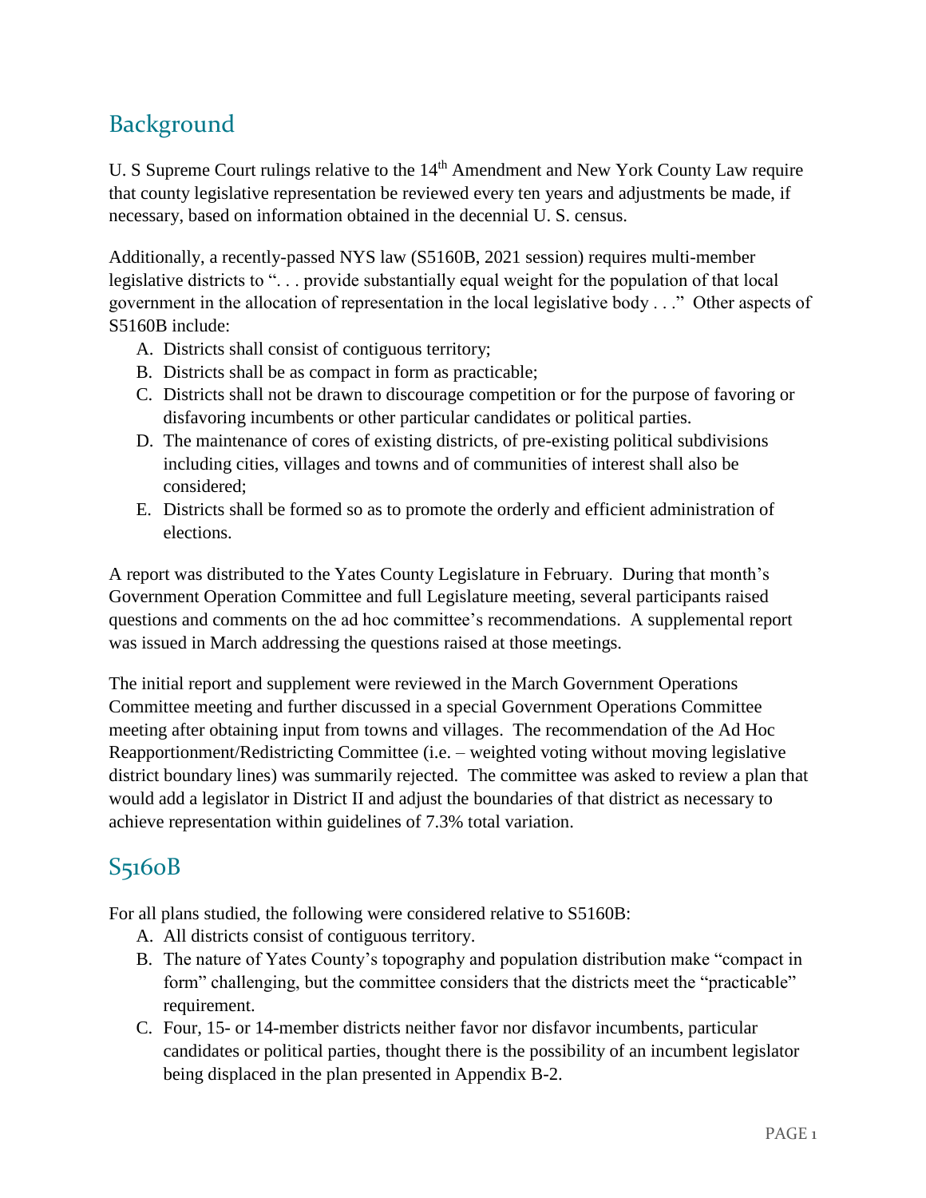# Background

U. S Supreme Court rulings relative to the 14<sup>th</sup> Amendment and New York County Law require that county legislative representation be reviewed every ten years and adjustments be made, if necessary, based on information obtained in the decennial U. S. census.

Additionally, a recently-passed NYS law (S5160B, 2021 session) requires multi-member legislative districts to "... provide substantially equal weight for the population of that local government in the allocation of representation in the local legislative body . . ." Other aspects of S5160B include:

- A. Districts shall consist of contiguous territory;
- B. Districts shall be as compact in form as practicable;
- C. Districts shall not be drawn to discourage competition or for the purpose of favoring or disfavoring incumbents or other particular candidates or political parties.
- D. The maintenance of cores of existing districts, of pre-existing political subdivisions including cities, villages and towns and of communities of interest shall also be considered;
- E. Districts shall be formed so as to promote the orderly and efficient administration of elections.

A report was distributed to the Yates County Legislature in February. During that month's Government Operation Committee and full Legislature meeting, several participants raised questions and comments on the ad hoc committee's recommendations. A supplemental report was issued in March addressing the questions raised at those meetings.

The initial report and supplement were reviewed in the March Government Operations Committee meeting and further discussed in a special Government Operations Committee meeting after obtaining input from towns and villages. The recommendation of the Ad Hoc Reapportionment/Redistricting Committee (i.e. – weighted voting without moving legislative district boundary lines) was summarily rejected. The committee was asked to review a plan that would add a legislator in District II and adjust the boundaries of that district as necessary to achieve representation within guidelines of 7.3% total variation.

### S5160B

For all plans studied, the following were considered relative to S5160B:

- A. All districts consist of contiguous territory.
- B. The nature of Yates County's topography and population distribution make "compact in form" challenging, but the committee considers that the districts meet the "practicable" requirement.
- C. Four, 15- or 14-member districts neither favor nor disfavor incumbents, particular candidates or political parties, thought there is the possibility of an incumbent legislator being displaced in the plan presented in Appendix B-2.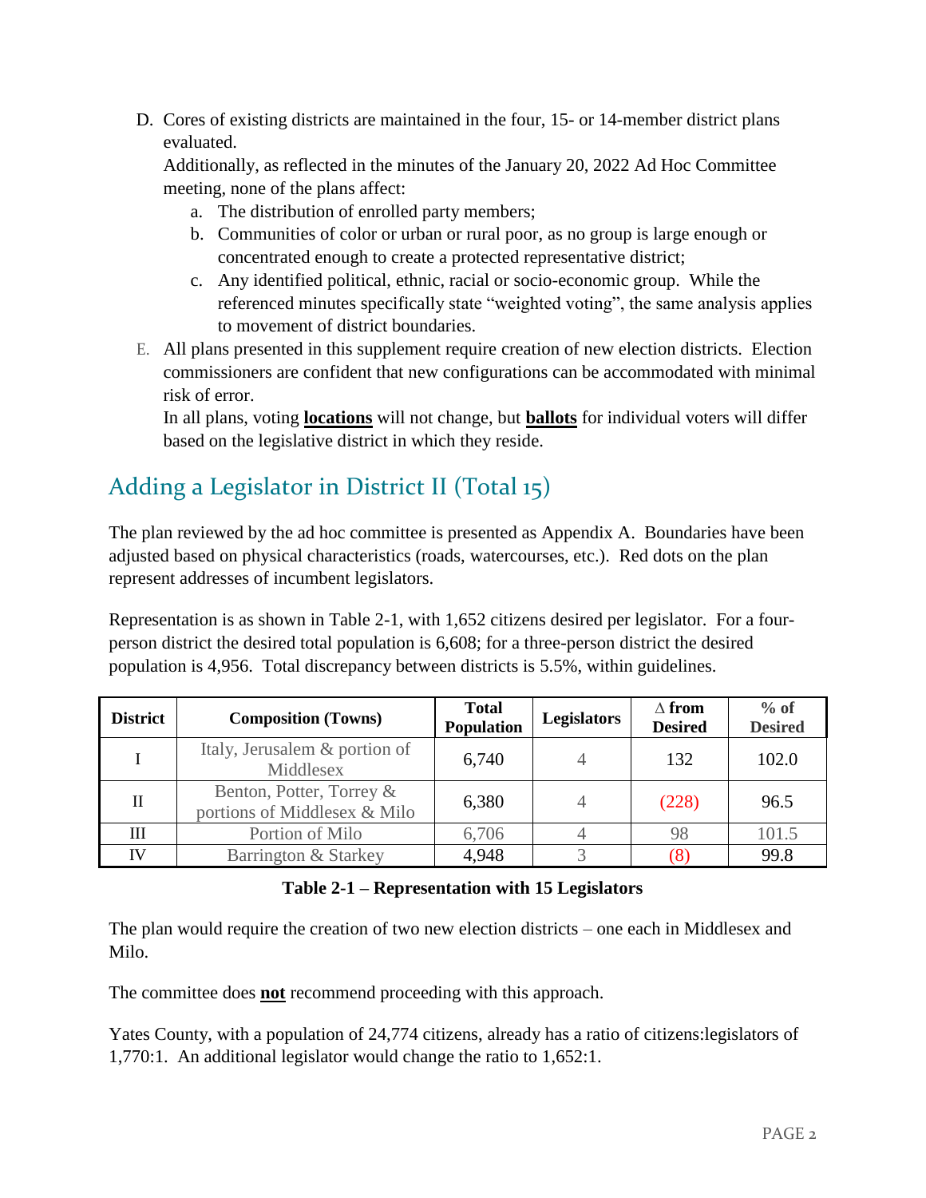D. Cores of existing districts are maintained in the four, 15- or 14-member district plans evaluated.

Additionally, as reflected in the minutes of the January 20, 2022 Ad Hoc Committee meeting, none of the plans affect:

- a. The distribution of enrolled party members;
- b. Communities of color or urban or rural poor, as no group is large enough or concentrated enough to create a protected representative district;
- c. Any identified political, ethnic, racial or socio-economic group. While the referenced minutes specifically state "weighted voting", the same analysis applies to movement of district boundaries.
- E. All plans presented in this supplement require creation of new election districts. Election commissioners are confident that new configurations can be accommodated with minimal risk of error.

In all plans, voting **locations** will not change, but **ballots** for individual voters will differ based on the legislative district in which they reside.

# Adding a Legislator in District II (Total 15)

The plan reviewed by the ad hoc committee is presented as Appendix A. Boundaries have been adjusted based on physical characteristics (roads, watercourses, etc.). Red dots on the plan represent addresses of incumbent legislators.

Representation is as shown in Table 2-1, with 1,652 citizens desired per legislator. For a fourperson district the desired total population is 6,608; for a three-person district the desired population is 4,956. Total discrepancy between districts is 5.5%, within guidelines.

| <b>District</b> | <b>Composition (Towns)</b>                               | <b>Total</b><br>Population | <b>Legislators</b> | $\Delta$ from<br><b>Desired</b> | $%$ of<br><b>Desired</b> |
|-----------------|----------------------------------------------------------|----------------------------|--------------------|---------------------------------|--------------------------|
|                 | Italy, Jerusalem & portion of<br>Middlesex               | 6,740                      |                    | 132                             | 102.0                    |
|                 | Benton, Potter, Torrey &<br>portions of Middlesex & Milo | 6,380                      |                    | (228)                           | 96.5                     |
| Ш               | Portion of Milo                                          | 6,706                      |                    | 98                              | 101.5                    |
|                 | Barrington & Starkey                                     | 4,948                      |                    |                                 | 99.8                     |

#### **Table 2-1 – Representation with 15 Legislators**

The plan would require the creation of two new election districts – one each in Middlesex and Milo.

The committee does **not** recommend proceeding with this approach.

Yates County, with a population of 24,774 citizens, already has a ratio of citizens:legislators of 1,770:1. An additional legislator would change the ratio to 1,652:1.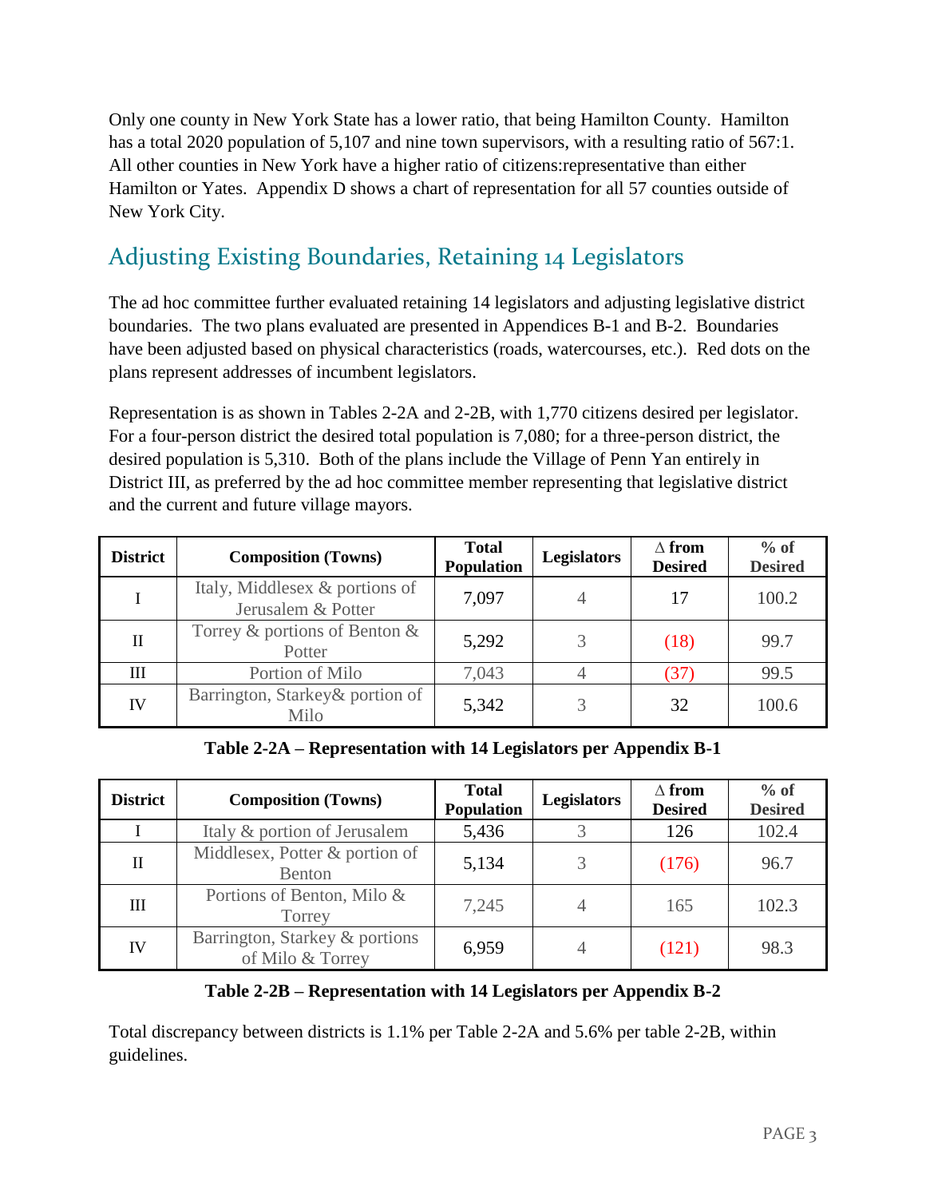Only one county in New York State has a lower ratio, that being Hamilton County. Hamilton has a total 2020 population of 5,107 and nine town supervisors, with a resulting ratio of 567:1. All other counties in New York have a higher ratio of citizens:representative than either Hamilton or Yates. Appendix D shows a chart of representation for all 57 counties outside of New York City.

# Adjusting Existing Boundaries, Retaining 14 Legislators

The ad hoc committee further evaluated retaining 14 legislators and adjusting legislative district boundaries. The two plans evaluated are presented in Appendices B-1 and B-2. Boundaries have been adjusted based on physical characteristics (roads, watercourses, etc.). Red dots on the plans represent addresses of incumbent legislators.

Representation is as shown in Tables 2-2A and 2-2B, with 1,770 citizens desired per legislator. For a four-person district the desired total population is 7,080; for a three-person district, the desired population is 5,310. Both of the plans include the Village of Penn Yan entirely in District III, as preferred by the ad hoc committee member representing that legislative district and the current and future village mayors.

| <b>District</b> | <b>Composition (Towns)</b>                           | <b>Total</b><br><b>Population</b> | <b>Legislators</b> | $\Delta$ from<br><b>Desired</b> | $%$ of<br><b>Desired</b> |
|-----------------|------------------------------------------------------|-----------------------------------|--------------------|---------------------------------|--------------------------|
|                 | Italy, Middlesex & portions of<br>Jerusalem & Potter | 7,097                             |                    | 17                              | 100.2                    |
| П               | Torrey $\&$ portions of Benton $\&$<br>Potter        | 5,292                             |                    | (18)                            | 99.7                     |
| Ш               | Portion of Milo                                      | 7,043                             |                    | 37                              | 99.5                     |
| <b>IV</b>       | Barrington, Starkey & portion of<br>Milo             | 5,342                             |                    | 32                              | 100.6                    |

**Table 2-2A – Representation with 14 Legislators per Appendix B-1**

| <b>District</b> | <b>Composition (Towns)</b>                         | <b>Total</b><br><b>Population</b> | <b>Legislators</b> | $\Delta$ from<br><b>Desired</b> | $%$ of<br><b>Desired</b> |
|-----------------|----------------------------------------------------|-----------------------------------|--------------------|---------------------------------|--------------------------|
|                 | Italy & portion of Jerusalem                       | 5,436                             |                    | 126                             | 102.4                    |
| $\mathbf{I}$    | Middlesex, Potter & portion of<br><b>Benton</b>    | 5,134                             |                    | (176)                           | 96.7                     |
| Ш               | Portions of Benton, Milo &<br>Torrey               | 7,245                             |                    | 165                             | 102.3                    |
| <b>IV</b>       | Barrington, Starkey & portions<br>of Milo & Torrey | 6,959                             |                    | (121)                           | 98.3                     |

#### **Table 2-2B – Representation with 14 Legislators per Appendix B-2**

Total discrepancy between districts is 1.1% per Table 2-2A and 5.6% per table 2-2B, within guidelines.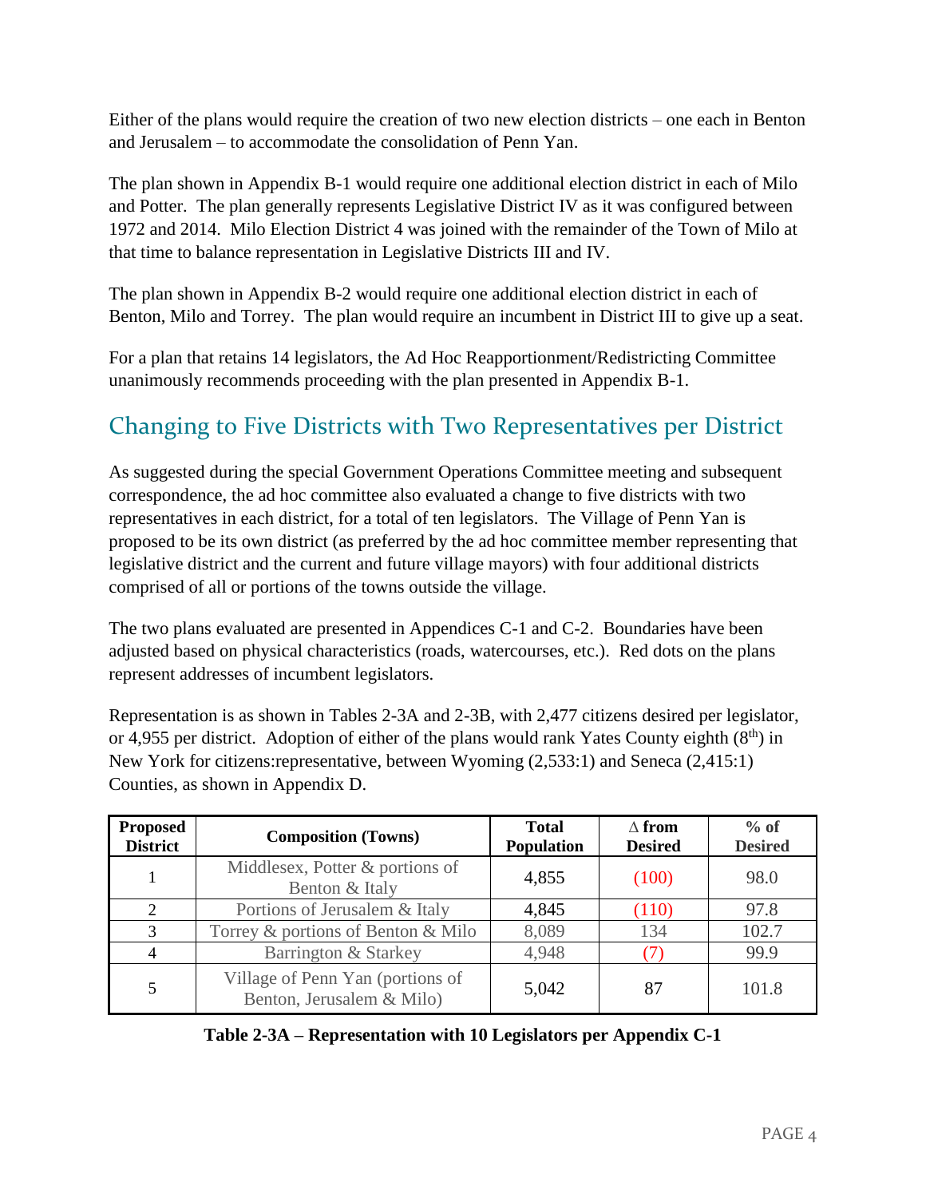Either of the plans would require the creation of two new election districts – one each in Benton and Jerusalem – to accommodate the consolidation of Penn Yan.

The plan shown in Appendix B-1 would require one additional election district in each of Milo and Potter. The plan generally represents Legislative District IV as it was configured between 1972 and 2014. Milo Election District 4 was joined with the remainder of the Town of Milo at that time to balance representation in Legislative Districts III and IV.

The plan shown in Appendix B-2 would require one additional election district in each of Benton, Milo and Torrey. The plan would require an incumbent in District III to give up a seat.

For a plan that retains 14 legislators, the Ad Hoc Reapportionment/Redistricting Committee unanimously recommends proceeding with the plan presented in Appendix B-1.

## Changing to Five Districts with Two Representatives per District

As suggested during the special Government Operations Committee meeting and subsequent correspondence, the ad hoc committee also evaluated a change to five districts with two representatives in each district, for a total of ten legislators. The Village of Penn Yan is proposed to be its own district (as preferred by the ad hoc committee member representing that legislative district and the current and future village mayors) with four additional districts comprised of all or portions of the towns outside the village.

The two plans evaluated are presented in Appendices C-1 and C-2. Boundaries have been adjusted based on physical characteristics (roads, watercourses, etc.). Red dots on the plans represent addresses of incumbent legislators.

Representation is as shown in Tables 2-3A and 2-3B, with 2,477 citizens desired per legislator, or 4,955 per district. Adoption of either of the plans would rank Yates County eighth  $(8<sup>th</sup>)$  in New York for citizens:representative, between Wyoming (2,533:1) and Seneca (2,415:1) Counties, as shown in Appendix D.

| <b>Proposed</b><br><b>District</b> | <b>Composition (Towns)</b>                                    | <b>Total</b><br>Population | $\wedge$ from<br><b>Desired</b> | $%$ of<br><b>Desired</b> |
|------------------------------------|---------------------------------------------------------------|----------------------------|---------------------------------|--------------------------|
|                                    | Middlesex, Potter & portions of<br>Benton & Italy             | 4,855                      | (100)                           | 98.0                     |
| 2                                  | Portions of Jerusalem & Italy                                 | 4,845                      | (110)                           | 97.8                     |
| 3                                  | Torrey & portions of Benton & Milo                            | 8,089                      | 134                             | 102.7                    |
| 4                                  | Barrington & Starkey                                          | 4,948                      |                                 | 99.9                     |
| 5                                  | Village of Penn Yan (portions of<br>Benton, Jerusalem & Milo) | 5,042                      | 87                              | 101.8                    |

**Table 2-3A – Representation with 10 Legislators per Appendix C-1**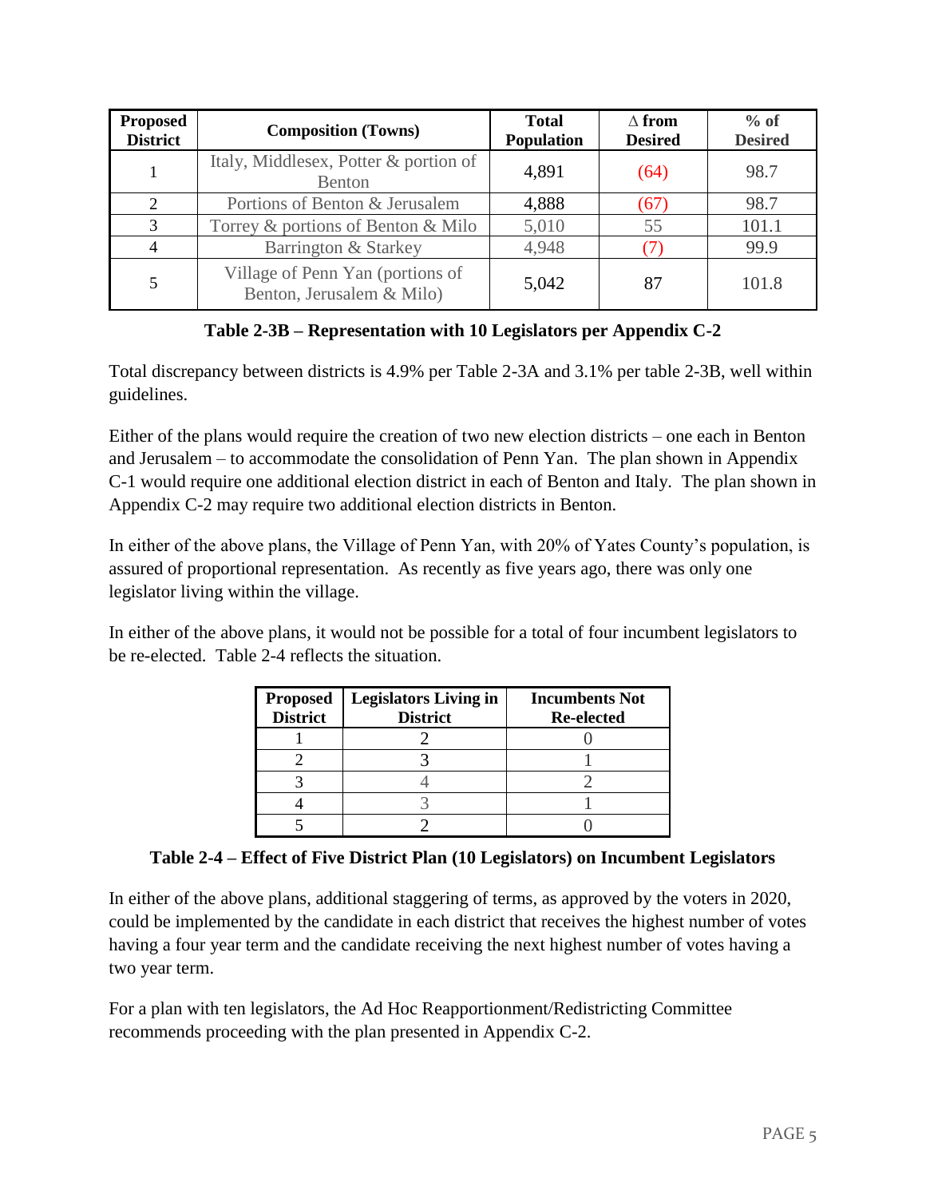| <b>Proposed</b><br><b>District</b> | <b>Composition (Towns)</b>                                    | <b>Total</b><br><b>Population</b> | $\Delta$ from<br><b>Desired</b> | $%$ of<br><b>Desired</b> |
|------------------------------------|---------------------------------------------------------------|-----------------------------------|---------------------------------|--------------------------|
|                                    | Italy, Middlesex, Potter & portion of<br><b>Benton</b>        | 4,891                             | (64)                            | 98.7                     |
| 2                                  | Portions of Benton & Jerusalem                                | 4,888                             | (67)                            | 98.7                     |
| 3                                  | Torrey & portions of Benton & Milo                            | 5,010                             | 55                              | 101.1                    |
| 4                                  | Barrington & Starkey                                          | 4,948                             |                                 | 99.9                     |
| 5                                  | Village of Penn Yan (portions of<br>Benton, Jerusalem & Milo) | 5,042                             | 87                              | 101.8                    |

**Table 2-3B – Representation with 10 Legislators per Appendix C-2**

Total discrepancy between districts is 4.9% per Table 2-3A and 3.1% per table 2-3B, well within guidelines.

Either of the plans would require the creation of two new election districts – one each in Benton and Jerusalem – to accommodate the consolidation of Penn Yan. The plan shown in Appendix C-1 would require one additional election district in each of Benton and Italy. The plan shown in Appendix C-2 may require two additional election districts in Benton.

In either of the above plans, the Village of Penn Yan, with 20% of Yates County's population, is assured of proportional representation. As recently as five years ago, there was only one legislator living within the village.

In either of the above plans, it would not be possible for a total of four incumbent legislators to be re-elected. Table 2-4 reflects the situation.

| <b>Proposed</b><br><b>District</b> | <b>Legislators Living in</b><br><b>District</b> | <b>Incumbents Not</b><br><b>Re-elected</b> |
|------------------------------------|-------------------------------------------------|--------------------------------------------|
|                                    |                                                 |                                            |
|                                    |                                                 |                                            |
|                                    |                                                 |                                            |
|                                    |                                                 |                                            |
|                                    |                                                 |                                            |

#### **Table 2-4 – Effect of Five District Plan (10 Legislators) on Incumbent Legislators**

In either of the above plans, additional staggering of terms, as approved by the voters in 2020, could be implemented by the candidate in each district that receives the highest number of votes having a four year term and the candidate receiving the next highest number of votes having a two year term.

For a plan with ten legislators, the Ad Hoc Reapportionment/Redistricting Committee recommends proceeding with the plan presented in Appendix C-2.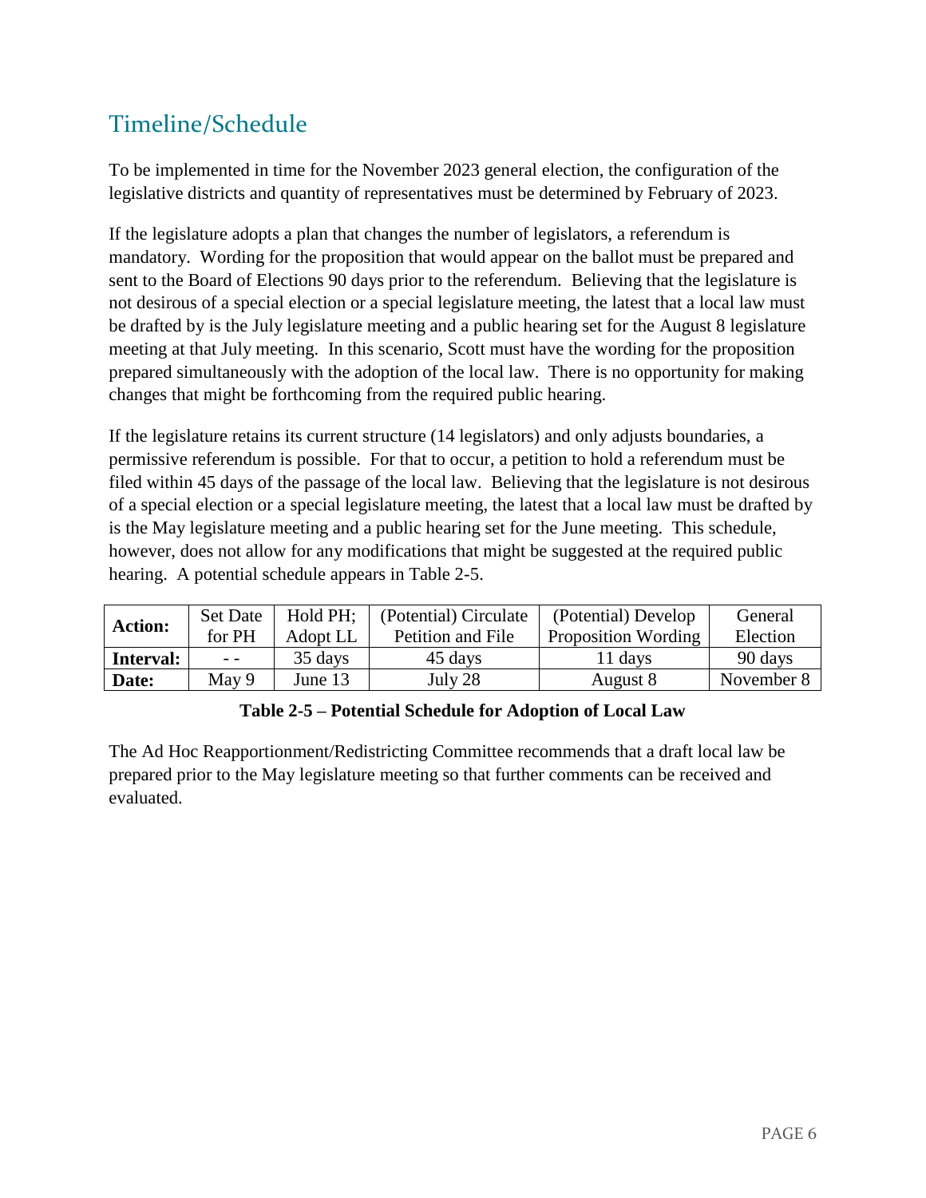## Timeline/Schedule

To be implemented in time for the November 2023 general election, the configuration of the legislative districts and quantity of representatives must be determined by February of 2023.

If the legislature adopts a plan that changes the number of legislators, a referendum is mandatory. Wording for the proposition that would appear on the ballot must be prepared and sent to the Board of Elections 90 days prior to the referendum. Believing that the legislature is not desirous of a special election or a special legislature meeting, the latest that a local law must be drafted by is the July legislature meeting and a public hearing set for the August 8 legislature meeting at that July meeting. In this scenario, Scott must have the wording for the proposition prepared simultaneously with the adoption of the local law. There is no opportunity for making changes that might be forthcoming from the required public hearing.

If the legislature retains its current structure (14 legislators) and only adjusts boundaries, a permissive referendum is possible. For that to occur, a petition to hold a referendum must be filed within 45 days of the passage of the local law. Believing that the legislature is not desirous of a special election or a special legislature meeting, the latest that a local law must be drafted by is the May legislature meeting and a public hearing set for the June meeting. This schedule, however, does not allow for any modifications that might be suggested at the required public hearing. A potential schedule appears in Table 2-5.

| <b>Action:</b> | <b>Set Date</b> | Hold PH; | (Potential) Circulate | (Potential) Develop        | General    |
|----------------|-----------------|----------|-----------------------|----------------------------|------------|
|                | for PH          | Adopt LL | Petition and File     | <b>Proposition Wording</b> | Election   |
| Interval:      | $ -$            | 35 days  | 45 days               | 11 days                    | 90 days    |
| Date:          | May 9           | June 13  | July 28               | August 8                   | November 8 |

#### **Table 2-5 – Potential Schedule for Adoption of Local Law**

The Ad Hoc Reapportionment/Redistricting Committee recommends that a draft local law be prepared prior to the May legislature meeting so that further comments can be received and evaluated.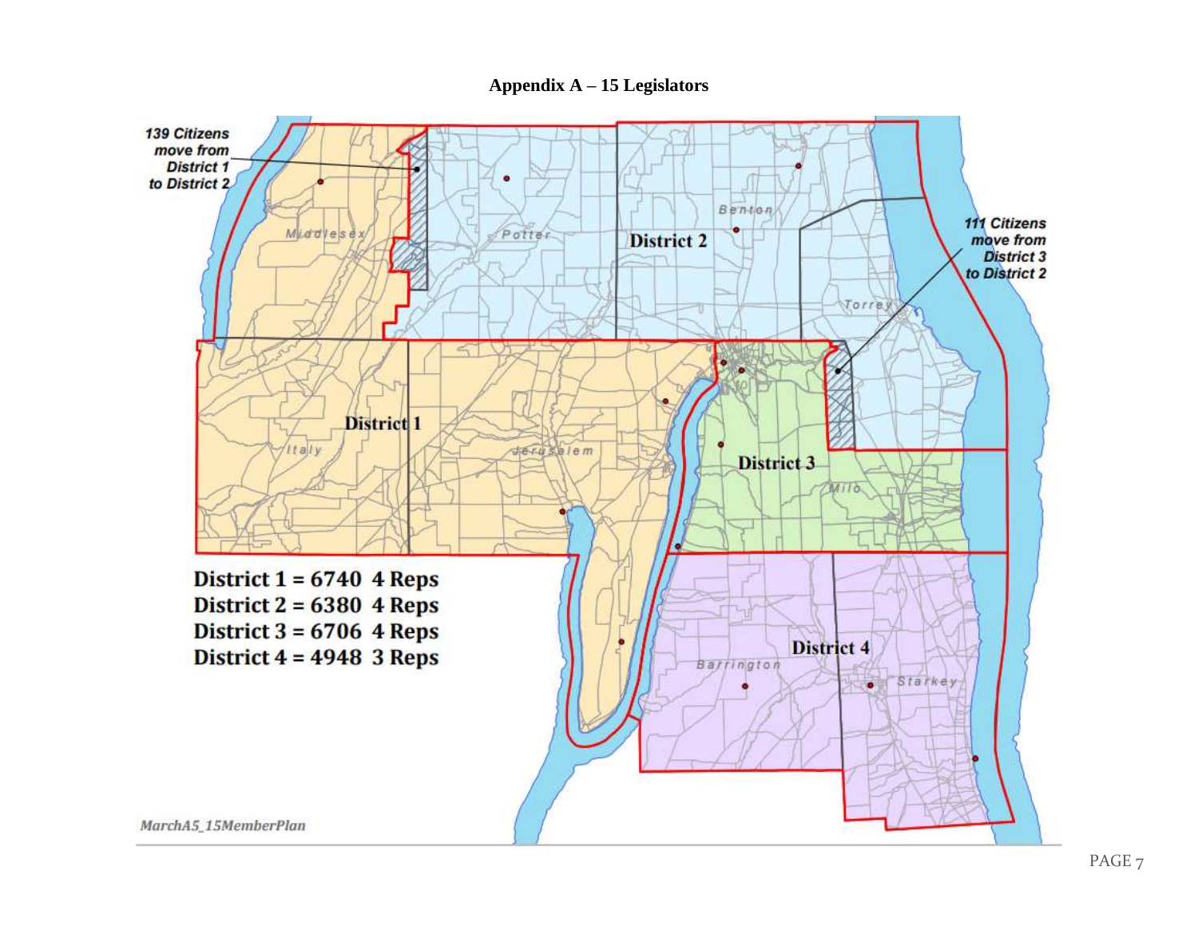**Appendix A – 15 Legislators**

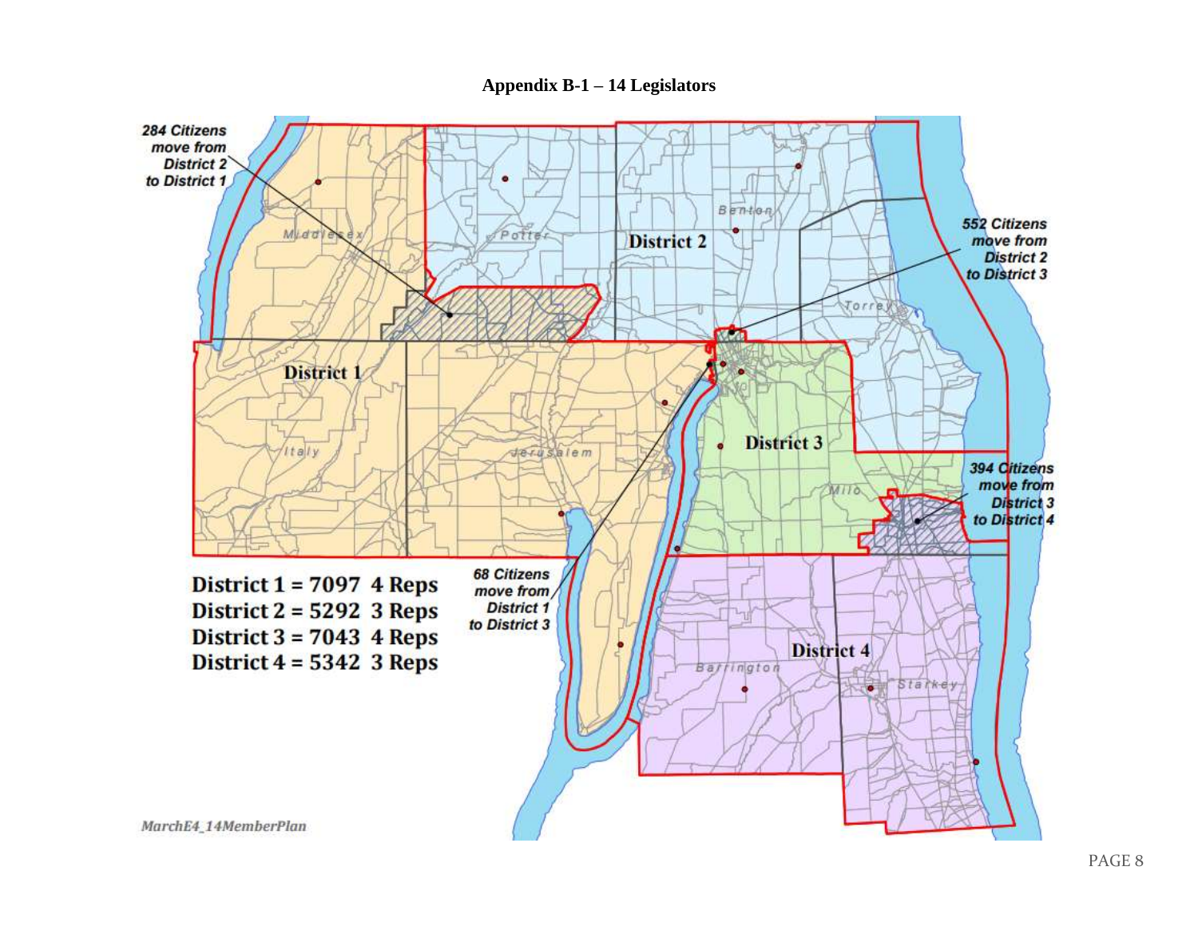**Appendix B-1 – 14 Legislators**

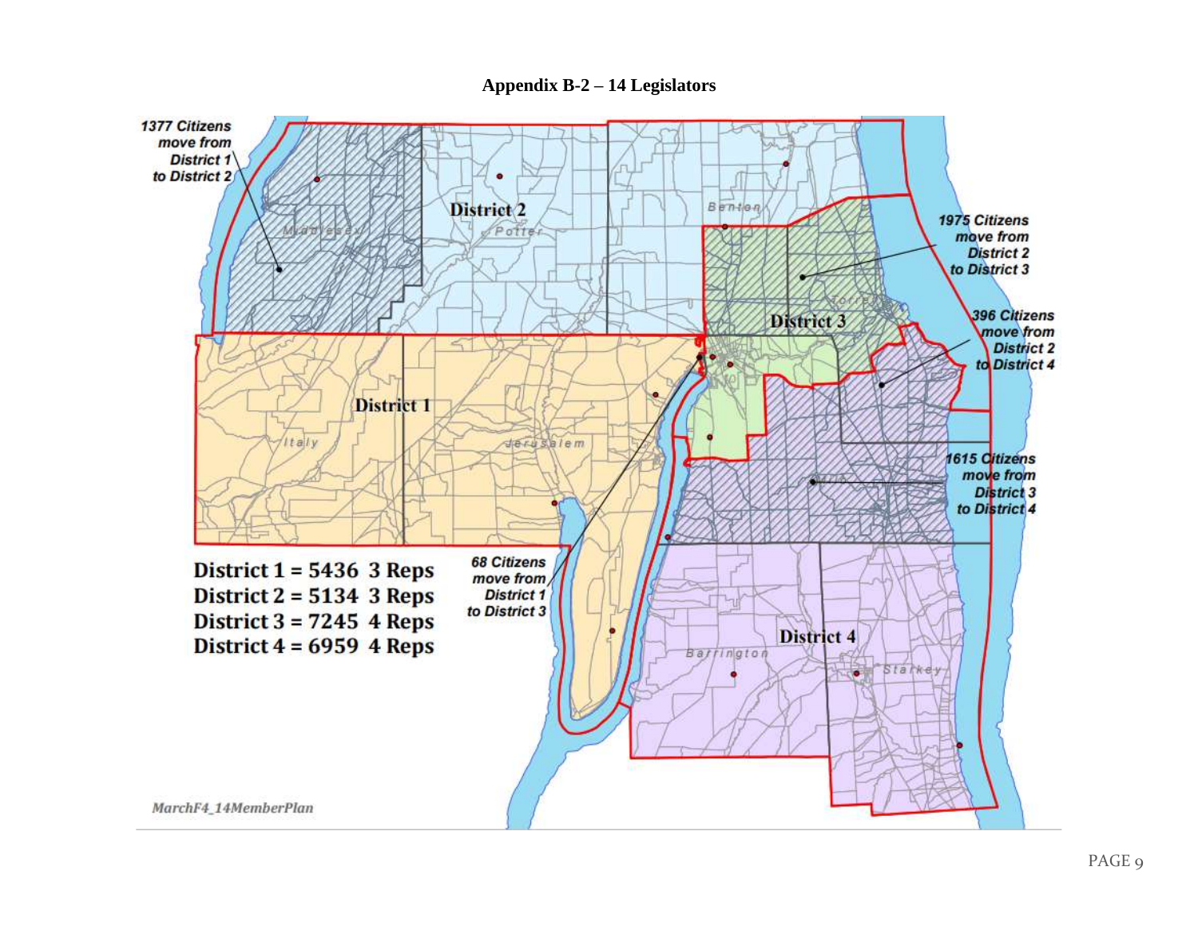**Appendix B-2 – 14 Legislators**

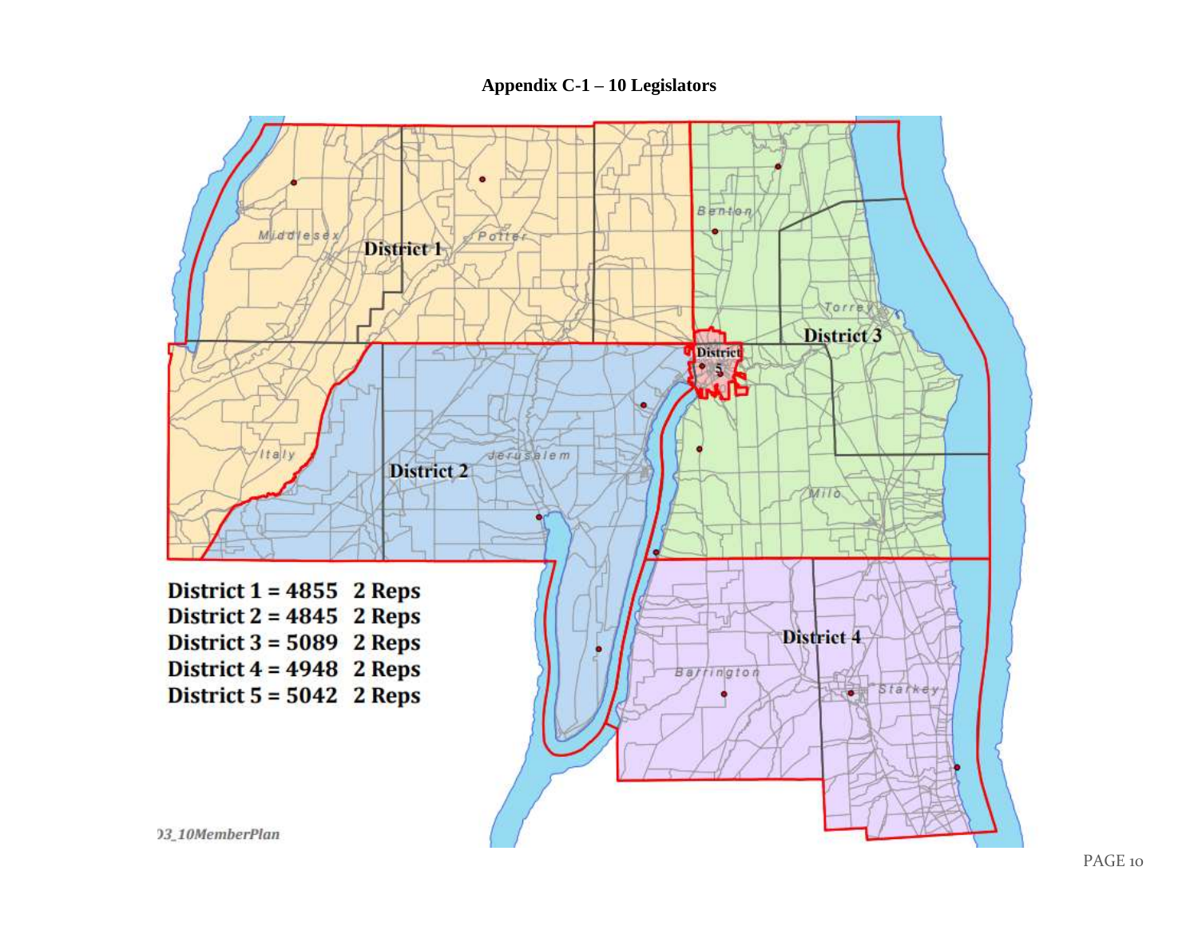#### **Appendix C-1 – 10 Legislators**

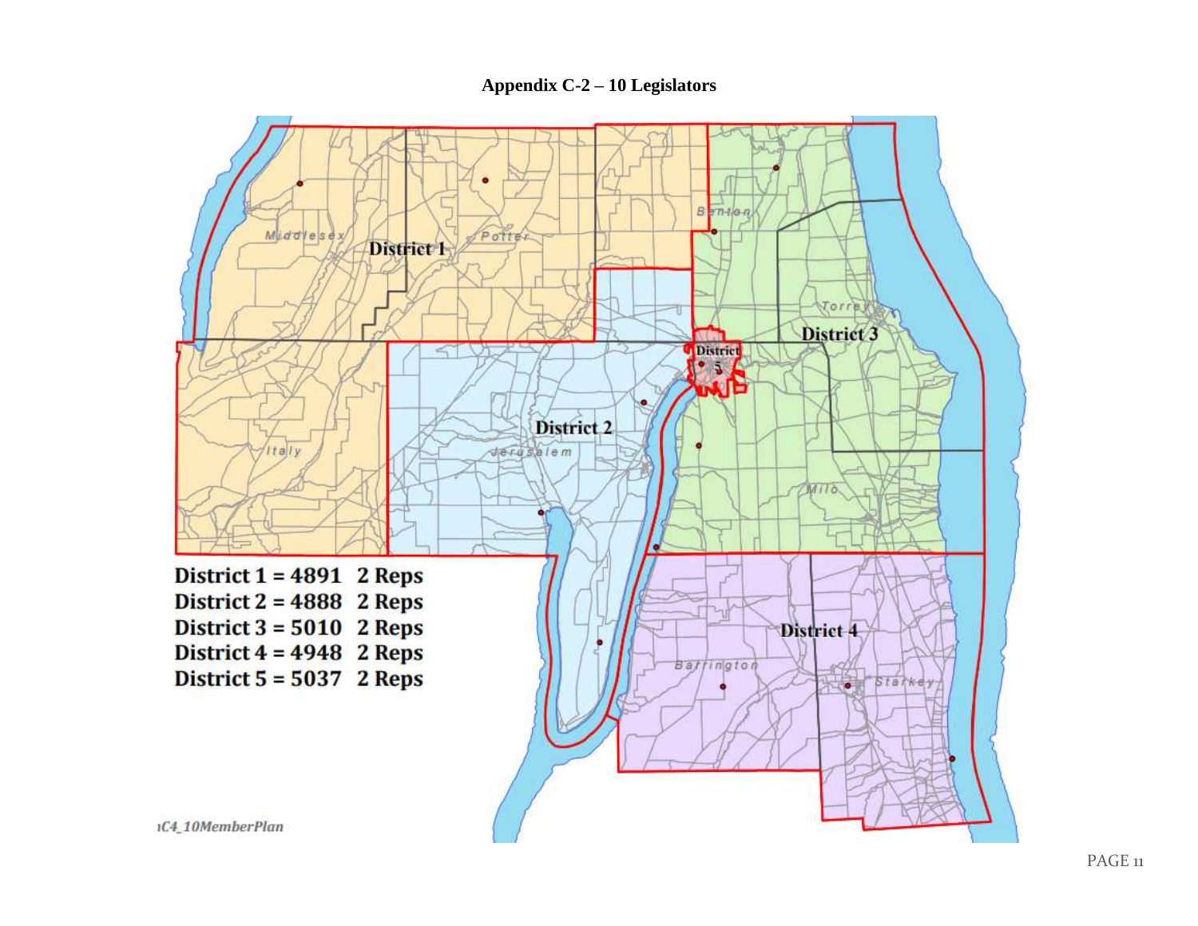**Appendix C-2 – 10 Legislators**